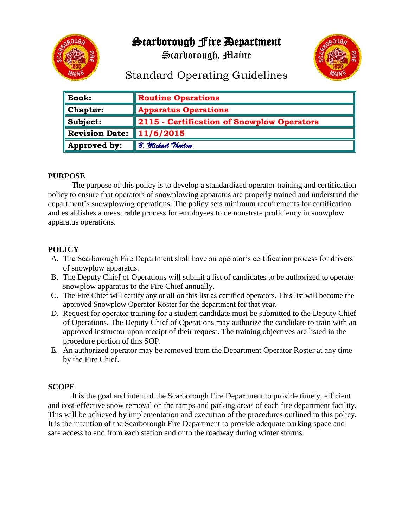

Scarborough Fire Department

Scarborough, Maine



# Standard Operating Guidelines

| <b>Book:</b>          | <b>Routine Operations</b>                  |
|-----------------------|--------------------------------------------|
| <b>Chapter:</b>       | <b>Apparatus Operations</b>                |
| Subject:              | 2115 - Certification of Snowplow Operators |
| <b>Revision Date:</b> | 11/6/2015                                  |
| Approved by:          | B. Michael Thurlow                         |

#### **PURPOSE**

The purpose of this policy is to develop a standardized operator training and certification policy to ensure that operators of snowplowing apparatus are properly trained and understand the department's snowplowing operations. The policy sets minimum requirements for certification and establishes a measurable process for employees to demonstrate proficiency in snowplow apparatus operations.

## **POLICY**

- A. The Scarborough Fire Department shall have an operator's certification process for drivers of snowplow apparatus.
- B. The Deputy Chief of Operations will submit a list of candidates to be authorized to operate snowplow apparatus to the Fire Chief annually.
- C. The Fire Chief will certify any or all on this list as certified operators. This list will become the approved Snowplow Operator Roster for the department for that year.
- D. Request for operator training for a student candidate must be submitted to the Deputy Chief of Operations. The Deputy Chief of Operations may authorize the candidate to train with an approved instructor upon receipt of their request. The training objectives are listed in the procedure portion of this SOP.
- E. An authorized operator may be removed from the Department Operator Roster at any time by the Fire Chief.

### **SCOPE**

It is the goal and intent of the Scarborough Fire Department to provide timely, efficient and cost-effective snow removal on the ramps and parking areas of each fire department facility. This will be achieved by implementation and execution of the procedures outlined in this policy. It is the intention of the Scarborough Fire Department to provide adequate parking space and safe access to and from each station and onto the roadway during winter storms.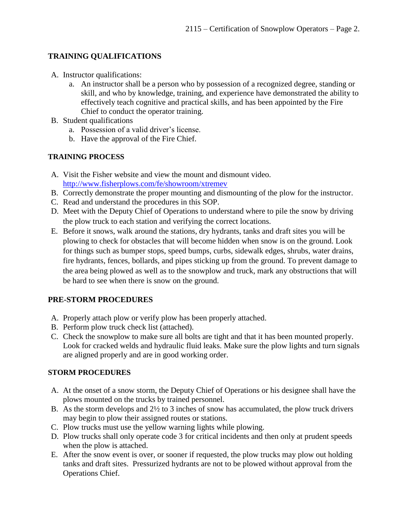#### **TRAINING QUALIFICATIONS**

- A. Instructor qualifications:
	- a. An instructor shall be a person who by possession of a recognized degree, standing or skill, and who by knowledge, training, and experience have demonstrated the ability to effectively teach cognitive and practical skills, and has been appointed by the Fire Chief to conduct the operator training.
- B. Student qualifications
	- a. Possession of a valid driver's license.
	- b. Have the approval of the Fire Chief.

#### **TRAINING PROCESS**

- A. Visit the Fisher website and view the mount and dismount video. <http://www.fisherplows.com/fe/showroom/xtremev>
- B. Correctly demonstrate the proper mounting and dismounting of the plow for the instructor.
- C. Read and understand the procedures in this SOP.
- D. Meet with the Deputy Chief of Operations to understand where to pile the snow by driving the plow truck to each station and verifying the correct locations.
- E. Before it snows, walk around the stations, dry hydrants, tanks and draft sites you will be plowing to check for obstacles that will become hidden when snow is on the ground. Look for things such as bumper stops, speed bumps, curbs, sidewalk edges, shrubs, water drains, fire hydrants, fences, bollards, and pipes sticking up from the ground. To prevent damage to the area being plowed as well as to the snowplow and truck, mark any obstructions that will be hard to see when there is snow on the ground.

#### **PRE-STORM PROCEDURES**

- A. Properly attach plow or verify plow has been properly attached.
- B. Perform plow truck check list (attached).
- C. Check the snowplow to make sure all bolts are tight and that it has been mounted properly. Look for cracked welds and hydraulic fluid leaks. Make sure the plow lights and turn signals are aligned properly and are in good working order.

#### **STORM PROCEDURES**

- A. At the onset of a snow storm, the Deputy Chief of Operations or his designee shall have the plows mounted on the trucks by trained personnel.
- B. As the storm develops and 2½ to 3 inches of snow has accumulated, the plow truck drivers may begin to plow their assigned routes or stations.
- C. Plow trucks must use the yellow warning lights while plowing.
- D. Plow trucks shall only operate code 3 for critical incidents and then only at prudent speeds when the plow is attached.
- E. After the snow event is over, or sooner if requested, the plow trucks may plow out holding tanks and draft sites. Pressurized hydrants are not to be plowed without approval from the Operations Chief.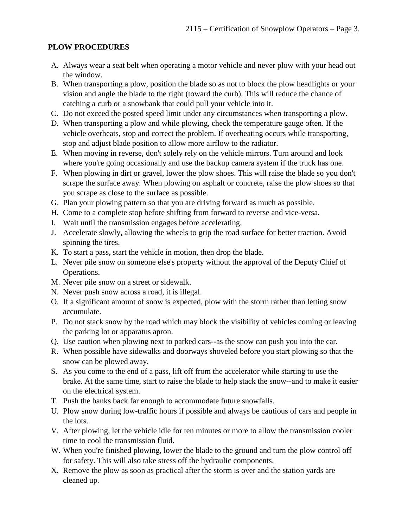#### **PLOW PROCEDURES**

- A. Always wear a seat belt when operating a motor vehicle and never plow with your head out the window.
- B. When transporting a plow, position the blade so as not to block the plow headlights or your vision and angle the blade to the right (toward the curb). This will reduce the chance of catching a curb or a snowbank that could pull your vehicle into it.
- C. Do not exceed the posted speed limit under any circumstances when transporting a plow.
- D. When transporting a plow and while plowing, check the temperature gauge often. If the vehicle overheats, stop and correct the problem. If overheating occurs while transporting, stop and adjust blade position to allow more airflow to the radiator.
- E. When moving in reverse, don't solely rely on the vehicle mirrors. Turn around and look where you're going occasionally and use the backup camera system if the truck has one.
- F. When plowing in dirt or gravel, lower the plow shoes. This will raise the blade so you don't scrape the surface away. When plowing on asphalt or concrete, raise the plow shoes so that you scrape as close to the surface as possible.
- G. Plan your plowing pattern so that you are driving forward as much as possible.
- H. Come to a complete stop before shifting from forward to reverse and vice-versa.
- I. Wait until the transmission engages before accelerating.
- J. Accelerate slowly, allowing the wheels to grip the road surface for better traction. Avoid spinning the tires.
- K. To start a pass, start the vehicle in motion, then drop the blade.
- L. Never pile snow on someone else's property without the approval of the Deputy Chief of Operations.
- M. Never pile snow on a street or sidewalk.
- N. Never push snow across a road, it is illegal.
- O. If a significant amount of snow is expected, plow with the storm rather than letting snow accumulate.
- P. Do not stack snow by the road which may block the visibility of vehicles coming or leaving the parking lot or apparatus apron.
- Q. Use caution when plowing next to parked cars--as the snow can push you into the car.
- R. When possible have sidewalks and doorways shoveled before you start plowing so that the snow can be plowed away.
- S. As you come to the end of a pass, lift off from the accelerator while starting to use the brake. At the same time, start to raise the blade to help stack the snow--and to make it easier on the electrical system.
- T. Push the banks back far enough to accommodate future snowfalls.
- U. Plow snow during low-traffic hours if possible and always be cautious of cars and people in the lots.
- V. After plowing, let the vehicle idle for ten minutes or more to allow the transmission cooler time to cool the transmission fluid.
- W. When you're finished plowing, lower the blade to the ground and turn the plow control off for safety. This will also take stress off the hydraulic components.
- X. Remove the plow as soon as practical after the storm is over and the station yards are cleaned up.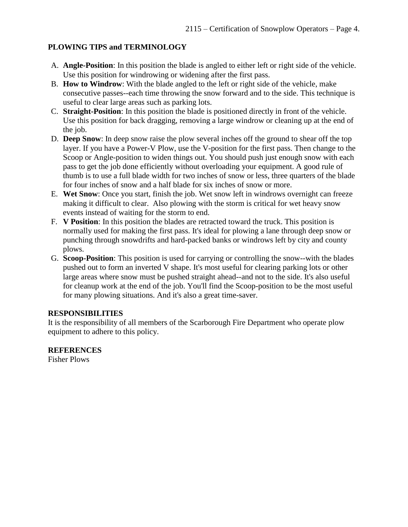#### **PLOWING TIPS and TERMINOLOGY**

- A. **Angle-Position**: In this position the blade is angled to either left or right side of the vehicle. Use this position for windrowing or widening after the first pass.
- B. **How to Windrow**: With the blade angled to the left or right side of the vehicle, make consecutive passes--each time throwing the snow forward and to the side. This technique is useful to clear large areas such as parking lots.
- C. **Straight-Position**: In this position the blade is positioned directly in front of the vehicle. Use this position for back dragging, removing a large windrow or cleaning up at the end of the job.
- D. **Deep Snow**: In deep snow raise the plow several inches off the ground to shear off the top layer. If you have a Power-V Plow, use the V-position for the first pass. Then change to the Scoop or Angle-position to widen things out. You should push just enough snow with each pass to get the job done efficiently without overloading your equipment. A good rule of thumb is to use a full blade width for two inches of snow or less, three quarters of the blade for four inches of snow and a half blade for six inches of snow or more.
- E. **Wet Snow**: Once you start, finish the job. Wet snow left in windrows overnight can freeze making it difficult to clear. Also plowing with the storm is critical for wet heavy snow events instead of waiting for the storm to end.
- F. **V Position**: In this position the blades are retracted toward the truck. This position is normally used for making the first pass. It's ideal for plowing a lane through deep snow or punching through snowdrifts and hard-packed banks or windrows left by city and county plows.
- G. **Scoop-Position**: This position is used for carrying or controlling the snow--with the blades pushed out to form an inverted V shape. It's most useful for clearing parking lots or other large areas where snow must be pushed straight ahead--and not to the side. It's also useful for cleanup work at the end of the job. You'll find the Scoop-position to be the most useful for many plowing situations. And it's also a great time-saver.

#### **RESPONSIBILITIES**

It is the responsibility of all members of the Scarborough Fire Department who operate plow equipment to adhere to this policy.

**REFERENCES** Fisher Plows